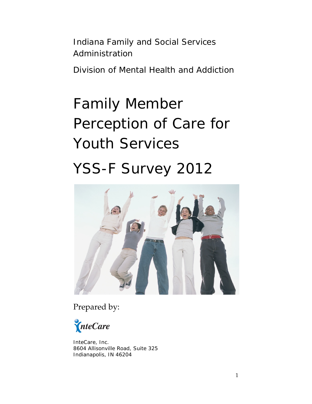Indiana Family and Social Services Administration

Division of Mental Health and Addiction

# Family Member Perception of Care for Youth Services YSS-F Survey 2012



Prepared by:

InteCare

InteCare, Inc. 8604 Allisonville Road, Suite 325 Indianapolis, IN 46204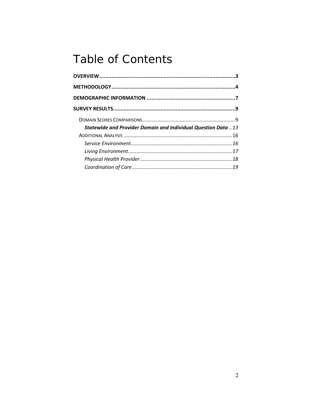## **Table of Contents**

| <b>Statewide and Provider Domain and Individual Question Data</b> 13 |  |
|----------------------------------------------------------------------|--|
|                                                                      |  |
|                                                                      |  |
|                                                                      |  |
|                                                                      |  |
|                                                                      |  |
|                                                                      |  |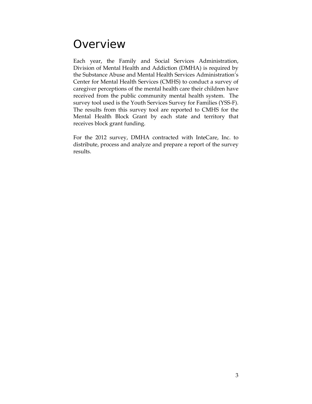## <span id="page-2-0"></span>**Overview**

Each year, the Family and Social Services Administration, Division of Mental Health and Addiction (DMHA) is required by the Substance Abuse and Mental Health Services Administration's Center for Mental Health Services (CMHS) to conduct a survey of caregiver perceptions of the mental health care their children have received from the public community mental health system. The survey tool used is the Youth Services Survey for Families (YSS-F). The results from this survey tool are reported to CMHS for the Mental Health Block Grant by each state and territory that receives block grant funding.

For the 2012 survey, DMHA contracted with InteCare, Inc. to distribute, process and analyze and prepare a report of the survey results.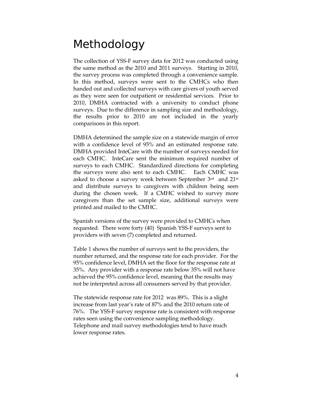## <span id="page-3-0"></span>Methodology

The collection of YSS-F survey data for 2012 was conducted using the same method as the 2010 and 2011 surveys. Starting in 2010, the survey process was completed through a convenience sample. In this method, surveys were sent to the CMHCs who then handed out and collected surveys with care givers of youth served as they were seen for outpatient or residential services. Prior to 2010, DMHA contracted with a university to conduct phone surveys. Due to the difference in sampling size and methodology, the results prior to 2010 are not included in the yearly comparisons in this report.

DMHA determined the sample size on a statewide margin of error with a confidence level of 95% and an estimated response rate. DMHA provided InteCare with the number of surveys needed for each CMHC. InteCare sent the minimum required number of surveys to each CMHC. Standardized directions for completing the surveys were also sent to each CMHC. Each CMHC was asked to choose a survey week between September 3rd and 21st and distribute surveys to caregivers with children being seen during the chosen week. If a CMHC wished to survey more caregivers than the set sample size, additional surveys were printed and mailed to the CMHC.

Spanish versions of the survey were provided to CMHCs when requested. There were forty (40) Spanish YSS-F surveys sent to providers with seven (7) completed and returned.

Table 1 shows the number of surveys sent to the providers, the number returned, and the response rate for each provider. For the 95% confidence level, DMHA set the floor for the response rate at 35%. Any provider with a response rate below 35% will not have achieved the 95% confidence level, meaning that the results may not be interpreted across all consumers served by that provider.

The statewide response rate for 2012 was 89%. This is a slight increase from last year's rate of 87% and the 2010 return rate of 76%. The YSS-F survey response rate is consistent with response rates seen using the convenience sampling methodology. Telephone and mail survey methodologies tend to have much lower response rates.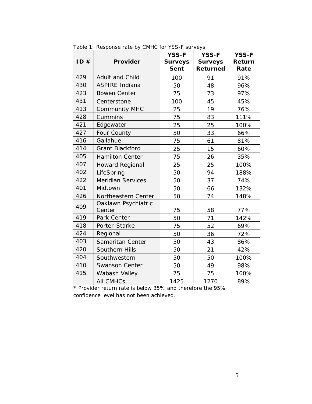| ID# | <b>Provider</b>               | <b>YSS-F</b><br><b>Surveys</b><br><b>Sent</b> | <b>YSS-F</b><br><b>Surveys</b><br>Returned | <b>YSS-F</b><br>Return<br>Rate |
|-----|-------------------------------|-----------------------------------------------|--------------------------------------------|--------------------------------|
| 429 | Adult and Child               | 100                                           | 91                                         | 91%                            |
| 430 | <b>ASPIRE Indiana</b>         | 50                                            | 48                                         | 96%                            |
| 423 | <b>Bowen Center</b>           | 75                                            | 73                                         | 97%                            |
| 431 | Centerstone                   | 100                                           | 45                                         | 45%                            |
| 413 | <b>Community MHC</b>          | 25                                            | 19                                         | 76%                            |
| 428 | Cummins                       | 75                                            | 83                                         | 111%                           |
| 421 | Edgewater                     | 25                                            | 25                                         | 100%                           |
| 427 | Four County                   | 50                                            | 33                                         | 66%                            |
| 416 | Gallahue                      | 75                                            | 61                                         | 81%                            |
| 414 | <b>Grant Blackford</b>        | 25                                            | 15                                         | 60%                            |
| 405 | <b>Hamilton Center</b>        | 75                                            | 26                                         | 35%                            |
| 407 | <b>Howard Regional</b>        | 25                                            | 25                                         | 100%                           |
| 402 | LifeSpring                    | 50                                            | 94                                         | 188%                           |
| 422 | <b>Meridian Services</b>      | 50                                            | 37                                         | 74%                            |
| 401 | Midtown                       | 50                                            | 66                                         | 132%                           |
| 426 | Northeastern Center           | 50                                            | 74                                         | 148%                           |
| 409 | Oaklawn Psychiatric<br>Center | 75                                            | 58                                         | 77%                            |
| 419 | Park Center                   | 50                                            | 71                                         | 142%                           |
| 418 | Porter-Starke                 | 75                                            | 52                                         | 69%                            |
| 424 | Regional                      | 50                                            | 36                                         | 72%                            |
| 403 | Samaritan Center              | 50                                            | 43                                         | 86%                            |
| 420 | Southern Hills                | 50                                            | 21                                         | 42%                            |
| 404 | Southwestern                  | 50                                            | 50                                         | 100%                           |
| 410 | <b>Swanson Center</b>         | 50                                            | 49                                         | 98%                            |
| 415 | Wabash Valley                 | 75                                            | 75                                         | 100%                           |
|     | <b>All CMHCs</b>              | 1425                                          | 1270                                       | 89%                            |

Table 1: Response rate by CMHC for YSS-F surveys.

\* Provider return rate is below 35% and therefore the 95% confidence level has not been achieved.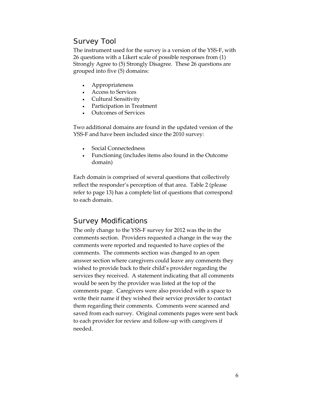#### Survey Tool

The instrument used for the survey is a version of the YSS-F, with 26 questions with a Likert scale of possible responses from (1) Strongly Agree to (5) Strongly Disagree. These 26 questions are grouped into five (5) domains:

- Appropriateness
- Access to Services
- Cultural Sensitivity
- Participation in Treatment
- Outcomes of Services

Two additional domains are found in the updated version of the YSS-F and have been included since the 2010 survey:

- Social Connectedness
- Functioning (includes items also found in the Outcome domain)

Each domain is comprised of several questions that collectively reflect the responder's perception of that area. Table 2 (please refer to page 13) has a complete list of questions that correspond to each domain.

#### Survey Modifications

The only change to the YSS-F survey for 2012 was the in the comments section. Providers requested a change in the way the comments were reported and requested to have copies of the comments. The comments section was changed to an open answer section where caregivers could leave any comments they wished to provide back to their child's provider regarding the services they received. A statement indicating that all comments would be seen by the provider was listed at the top of the comments page. Caregivers were also provided with a space to write their name if they wished their service provider to contact them regarding their comments. Comments were scanned and saved from each survey. Original comments pages were sent back to each provider for review and follow-up with caregivers if needed.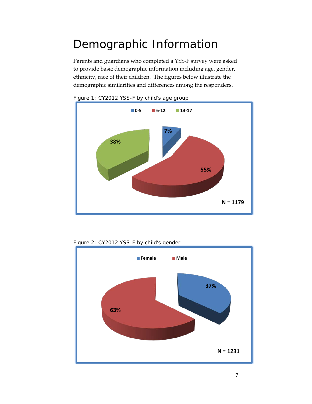# <span id="page-6-0"></span>Demographic Information

Parents and guardians who completed a YSS-F survey were asked to provide basic demographic information including age, gender, ethnicity, race of their children. The figures below illustrate the demographic similarities and differences among the responders.







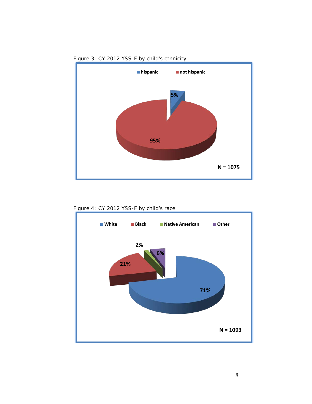

Figure 3: CY 2012 YSS-F by child's ethnicity



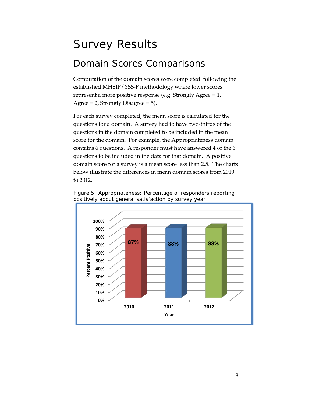## <span id="page-8-0"></span>Survey Results

### <span id="page-8-1"></span>Domain Scores Comparisons

Computation of the domain scores were completed following the established MHSIP/YSS-F methodology where lower scores represent a more positive response (e.g. Strongly Agree = 1, Agree  $= 2$ , Strongly Disagree  $= 5$ ).

For each survey completed, the mean score is calculated for the questions for a domain. A survey had to have two-thirds of the questions in the domain completed to be included in the mean score for the domain. For example, the Appropriateness domain contains 6 questions. A responder must have answered 4 of the 6 questions to be included in the data for that domain. A positive domain score for a survey is a mean score less than 2.5. The charts below illustrate the differences in mean domain scores from 2010 to 2012.



Figure 5: Appropriateness: Percentage of responders reporting positively about general satisfaction by survey year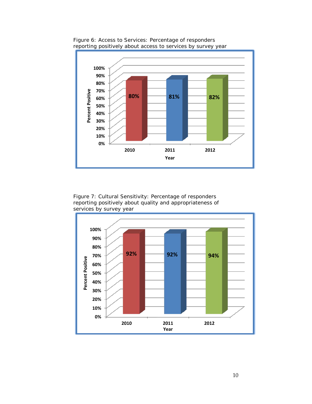

Figure 6: Access to Services: Percentage of responders reporting positively about access to services by survey year

Figure 7: Cultural Sensitivity: Percentage of responders reporting positively about quality and appropriateness of services by survey year

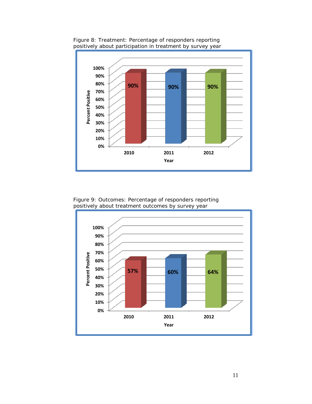

Figure 8: Treatment: Percentage of responders reporting positively about participation in treatment by survey year

Figure 9: Outcomes: Percentage of responders reporting positively about treatment outcomes by survey year

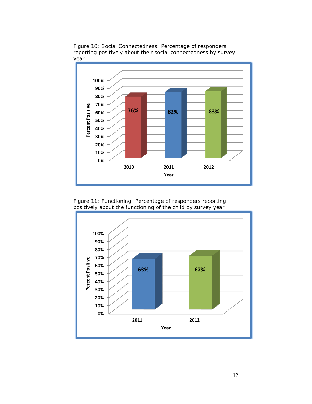

Figure 10: Social Connectedness: Percentage of responders reporting positively about their social connectedness by survey year

Figure 11: Functioning: Percentage of responders reporting positively about the functioning of the child by survey year

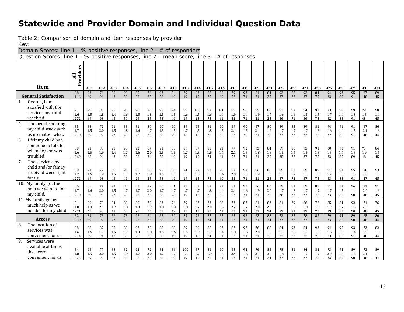#### **Statewide and Provider Domain and Individual Question Data**

Table 2: Comparison of domain and item responses by provider

Key:

Domain Scores: line 1 - % positive responses, line 2 - # of responders

Question Scores: line 1 - % positive responses, line 2 – mean score, line 3 - # of responses

<span id="page-12-0"></span>

|                                                                                 | Providers<br>$\overline{a}$ |                 |                       |                 |                 |                       |                   |                 |                 |                  |                       |                       |                  |                 |                       |                       |                 |                       |                 |                 |                 |                 |                 |                 |                 |                 |
|---------------------------------------------------------------------------------|-----------------------------|-----------------|-----------------------|-----------------|-----------------|-----------------------|-------------------|-----------------|-----------------|------------------|-----------------------|-----------------------|------------------|-----------------|-----------------------|-----------------------|-----------------|-----------------------|-----------------|-----------------|-----------------|-----------------|-----------------|-----------------|-----------------|-----------------|
| Item                                                                            |                             | 401             | 402                   | 403             | 404             | 405                   | 407               | 409             | 410             | 413              | 414                   | 415                   | 416              | 418             | 419                   | 420                   | 421             | 422                   | 423             | 424             | 426             | 427             | 428             | 429             | 430             | 431             |
| <b>General Satisfaction</b>                                                     | 88<br>1116                  | 93<br>69        | 76<br>96              | 88<br>43        | 92<br>50        | 85<br>26              | 76<br>25          | 93<br>58        | 84<br>49        | 79<br>19         | 93<br>15              | 88<br>75              | 98<br>60         | 79<br>52        | 93<br>71              | 81<br>21              | 84<br>25        | 92<br>37              | 88<br>72        | 92<br>37        | 84<br>75        | 94<br>33        | 93<br>85        | 95<br>91        | 67<br>48        | 89<br>45        |
| Overall, I am<br>1.<br>satisfied with the<br>services my child<br>received.     | 93<br>1.6<br>1272           | 99<br>1.5<br>69 | 80<br>1.8<br>93       | 95<br>1.4<br>43 | 96<br>1.6<br>50 | 96<br>1.5<br>26       | 76<br>1.8<br>25   | 95<br>1.5<br>58 | 94<br>1.5<br>49 | 89<br>1.6<br>19  | 100<br>1.5<br>15      | 93<br>1.6<br>75       | 100<br>1.4<br>61 | 88<br>1.9<br>52 | 96<br>1.4<br>71       | 95<br>1.9<br>21       | 80<br>1.7<br>25 | 92<br>1.6<br>36       | 93<br>1.6<br>71 | 94<br>1.5<br>36 | 92<br>1.5<br>75 | 33<br>1.7<br>32 | 98<br>1.4<br>85 | 99<br>1.3<br>91 | 79<br>1.8<br>48 | 98<br>1.4<br>45 |
| The people helping<br>4.<br>my child stuck with<br>us no matter what.           | 85<br>1.7<br>1270           | 88<br>1.5<br>69 | 72<br>2.0<br>94       | 91<br>1.5<br>43 | 88<br>1.8<br>49 | 81<br>1.6<br>26       | 80<br>1.7<br>25   | 90<br>1.5<br>58 | 90<br>1.5<br>49 | 89<br>1.7<br>18  | 93<br>1.5<br>15       | 81<br>1.8<br>75       | 90<br>1.5<br>60  | 69<br>2.1<br>52 | 90<br>1.5<br>70       | 67<br>2.1<br>21       | 80<br>1.9<br>25 | 89<br>1.7<br>37       | 85<br>1.7<br>72 | 89<br>1.7<br>37 | 81<br>1.8<br>75 | 94<br>1.6<br>32 | 91<br>1.4<br>85 | 91<br>1.5<br>91 | 67<br>2.1<br>48 | 86<br>1.6<br>44 |
| 5.<br>I felt my child had<br>someone to talk to<br>when he/she was<br>troubled. | 88<br>1.6<br>1269           | 93<br>1.5<br>68 | 80<br>1.9<br>94       | 95<br>1.4<br>43 | 90<br>1.7<br>50 | 92<br>1.6<br>26       | 67<br>2.0<br>34   | 93<br>1.5<br>58 | 88<br>1.5<br>49 | 89<br>1.7<br>19  | 87<br>1.5<br>15       | 88<br>1.6<br>74       | 93<br>1.4<br>61  | 77<br>2.1<br>52 | 92<br>1.5<br>71       | 95<br>1.8<br>21       | 84<br>1.8<br>25 | 89<br>1.5<br>35       | 86<br>1.6<br>72 | 95<br>1.6<br>37 | 91<br>1.5<br>75 | 00<br>1.5<br>33 | 95<br>1.4<br>85 | 91<br>1.5<br>89 | 73<br>1.9<br>48 | 84<br>1.6<br>45 |
| 7.<br>The services my<br>child and/or family<br>received were right<br>for us.  | 88<br>1.7<br>1272           | 91<br>1.6<br>69 | 77<br>1.9<br>93       | 88<br>1.5<br>43 | 96<br>1.7<br>49 | 85<br>1.7<br>26       | 80<br>1.8<br>25   | 95<br>1.5<br>58 | 86<br>1.7<br>49 | 74<br>1.7<br>19  | 93<br>1.5<br>15       | 92<br>1.7<br>75       | 98<br>1.4<br>60  | 87<br>2.0<br>52 | 93<br>1.5<br>71       | 86<br>1.9<br>21       | 80<br>1.8<br>25 | 89<br>1.7<br>37       | 82<br>1.7<br>72 | 89<br>1.7<br>37 | 89<br>1.6<br>75 | 91<br>1.7<br>33 | 91<br>1.5<br>85 | 95<br>1.5<br>91 | 70<br>2.0<br>47 | 93<br>1.5<br>45 |
| 10. My family got the<br>help we wanted for<br>my child.                        | 86<br>1.7<br>1270           | 88<br>1.6<br>69 | 77<br>2.0<br>93       | 91<br>1.5<br>43 | 88<br>1.7<br>49 | 85<br>1.7<br>26       | 72<br>$2.0$<br>25 | 86<br>1.7<br>58 | 81<br>1.7<br>48 | 79<br>1.7<br>19  | 87<br>1.7<br>15       | 83<br>1.8<br>75       | 97<br>1.4<br>60  | 81<br>2.1<br>52 | 92<br>1.6<br>71       | 86<br>1.9<br>21       | 80<br>2.0<br>25 | 89<br>1.7<br>36       | 81<br>1.8<br>72 | 89<br>1.7<br>37 | 89<br>1.7<br>75 | 91<br>1.7<br>33 | 93<br>1.5<br>85 | 96<br>1.4<br>90 | 71<br>2.0<br>48 | 91<br>1.6<br>45 |
| 11. My family got as<br>much help as we<br>needed for my child                  | 81<br>1.8<br>1271           | 80<br>1.8<br>69 | 72<br>2.1<br>93<br>78 | 84<br>1.7<br>43 | 82<br>1.8<br>50 | 80<br>1.9<br>25<br>92 | 72<br>1.9<br>25   | 83<br>1.8<br>58 | 76<br>1.8<br>49 | 79<br>1.8<br>19  | 87<br>1.7<br>15<br>73 | 73<br>2.0<br>75<br>77 | 98<br>1.5<br>61  | 73<br>2.2<br>52 | 87<br>1.7<br>71<br>93 | 81<br>2.0<br>21<br>62 | 83<br>2.0<br>24 | 81<br>1.7<br>37<br>73 | 79<br>1.8<br>71 | 86<br>1.8<br>37 | 76<br>1.8<br>75 | 85<br>1.9<br>33 | 84<br>1.7<br>85 | 92<br>1.5<br>90 | 71<br>2.0<br>48 | 76<br>1.9<br>45 |
| <b>Access</b>                                                                   | 82<br>1039                  | 89<br>69        | 94                    | 86<br>43        | 78<br>50        | 26                    | 64<br>25          | 83<br>58        | 82<br>49        | 89<br>19         | 15                    | 74                    | 87<br>61         | 65<br>52        | 71                    | 21                    | 88<br>24        | 37                    | 82<br>72        | 78<br>37        | 83<br>75        | 79<br>33        | 94<br>85        | 89<br>90        | 65<br>48        | 80<br>44        |
| The location of<br>8.<br>services was<br>convenient for us.                     | 88<br>1.6<br>1274           | 88<br>1.6<br>69 | 87<br>1.7<br>94       | 88<br>1.5<br>43 | 88<br>1.7<br>50 | 92<br>1.3<br>26       | 72<br>1.8<br>25   | 88<br>1.5<br>58 | 88<br>1.6<br>49 | 89<br>1.5<br>19  | 80<br>1.9<br>15       | 88<br>1.7<br>74       | 92<br>1.4<br>61  | 87<br>1.8<br>52 | 92<br>1.6<br>71       | 76<br>2.0<br>21       | 88<br>1.8<br>25 | 84<br>1.7<br>37       | 93<br>1.5<br>72 | 84<br>1.7<br>37 | 93<br>1.5<br>75 | 94<br>1.6<br>33 | 95<br>1.5<br>85 | 93<br>1.4<br>91 | 73<br>1.9<br>48 | 82<br>1.8<br>44 |
| 9.<br>Services were<br>available at times<br>that were<br>convenient for us.    | 84<br>1.8<br>1273           | 96<br>1.5<br>69 | 77<br>2.0<br>94       | 88<br>1.5<br>43 | 82<br>1.9<br>50 | 92<br>1.7<br>26       | 72<br>2.0<br>25   | 84<br>1.7<br>58 | 86<br>1.7<br>49 | 100<br>1.3<br>19 | 87<br>1.7<br>15       | 81<br>1.9<br>75       | 90<br>1.5<br>61  | 65<br>2.4<br>52 | 94<br>1.6<br>71       | 76<br>2.1<br>21       | 83<br>2.0<br>24 | 78<br>1.8<br>37       | 81<br>1.8<br>72 | 84<br>1.7<br>37 | 84<br>1.7<br>75 | 73<br>2.0<br>33 | 92<br>1.5<br>85 | 89<br>1.5<br>90 | 73<br>2.1<br>48 | 89<br>1.8<br>44 |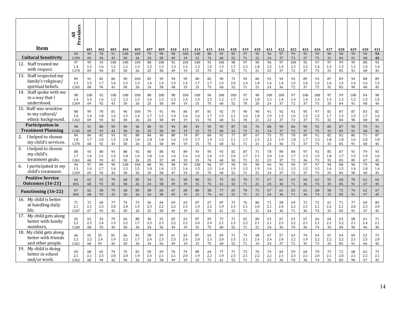|                                                                        | Providers<br>Ę    |                     |                 |                  |                  |                  |                 |                  |                 |                  |                  |                 |                  |                  |                 |                     |                  |                  |                  |                  |                  |                 |                 |                  |                 |                          |
|------------------------------------------------------------------------|-------------------|---------------------|-----------------|------------------|------------------|------------------|-----------------|------------------|-----------------|------------------|------------------|-----------------|------------------|------------------|-----------------|---------------------|------------------|------------------|------------------|------------------|------------------|-----------------|-----------------|------------------|-----------------|--------------------------|
| <b>Item</b>                                                            |                   | 401                 | 402             | 403              | 404              | 405              | 407             | 409              | 410             | 413              | 414              | 415             | 416              | 418              | 419             | 420                 | 421              | 422              | 423              | 424              | 426              | 427             | 428             | 429              | 430             | 431                      |
| <b>Cultural Sensitivity</b>                                            | 94                | 99                  | 78              | 91               | 100              | 100              | 79              | 98               | 98              | 100              | 100              | 88              | 95               | 83               | 97              | 95                  | 96               | 97               | 99               | 95               | 99               | 90              | 98              | 99               | 90              | 93                       |
|                                                                        | 1199              | 69                  | 94              | 43               | 50               | 26               | 24              | 58               | 49              | 19               | 15               | 74              | 60               | 52               | 71              | 21                  | 24               | 37               | 72               | 37               | 75               | 31              | 84              | 91               | 48              | 45                       |
| 12. Staff treated me<br>with respect.                                  | 97<br>1.4<br>1274 | 99<br>1.3<br>69     | 93<br>1.6<br>94 | 100<br>1.2<br>43 | 100<br>1.2<br>50 | 100<br>1.3<br>26 | 88<br>1.5<br>25 | 100<br>1.3<br>58 | 92<br>1.3<br>49 | 100<br>1.3<br>19 | 100<br>1.3<br>15 | 93<br>1.5<br>75 | 100<br>1.3<br>61 | 98<br>1.7<br>52  | 97<br>1.3<br>71 | 90<br>1.8<br>21     | 96<br>1.5<br>25  | 97<br>1.4<br>37  | 100<br>1.3<br>72 | 95<br>1.5<br>37  | 97<br>1.4<br>75  | 97<br>1.5<br>31 | 99<br>1.3<br>85 | 99<br>1.2<br>91  | 88<br>1.5<br>48 | 93<br>1.4<br>45          |
| 13.<br>Staff respected my<br>family's religious/<br>spiritual beliefs. | 89<br>1.5<br>1265 | 91<br>$1.5\,$<br>68 | 82<br>1.7<br>94 | 86<br>1.6<br>43  | 90<br>1.5<br>50  | 100<br>1.3<br>26 | 83<br>1.6<br>24 | 95<br>1.4<br>58  | 94<br>1.5<br>48 | 95<br>1.4<br>19  | 80<br>1.7<br>15  | 82<br>1.7<br>73 | 90<br>1.5<br>60  | 73<br>2.0<br>52  | 94<br>1.4<br>71 | 86<br>$1.8\,$<br>21 | 92<br>1.6<br>24  | 94<br>1.4<br>36  | 92<br>1.5<br>72  | 89<br>1.6<br>37  | 93<br>1.5<br>75  | 87<br>1.6<br>31 | 89<br>1.5<br>85 | 94<br>1.4<br>90  | 88<br>1.6<br>48 | 89<br>1.5<br>$\sqrt{45}$ |
| Staff spoke with me<br>14.<br>in a way that I<br>understood.           | 98<br>1.4<br>1269 | 100<br>1.4<br>69    | 92<br>1.6<br>92 | 100<br>1.2<br>43 | 100<br>1.3<br>50 | 100<br>1.3<br>26 | 88<br>1.6<br>25 | 100<br>1.3<br>58 | 98<br>1.3<br>49 | 100<br>1.4<br>19 | 100<br>1.5<br>15 | 96<br>1.5<br>75 | 100<br>1.2<br>60 | 100<br>1.7<br>52 | 97<br>1.4<br>70 | 90<br>1.8<br>20     | 100<br>1.5<br>24 | 100<br>1.4<br>37 | 97<br>1.4<br>72  | 100<br>1.4<br>37 | 100<br>1.4<br>75 | 97<br>1.5<br>33 | 99<br>1.3<br>84 | 100<br>1.2<br>91 | 94<br>1.5<br>48 | 98<br>1.5<br>44          |
| 15. Staff was sensitive                                                | 88                | 99                  | 78              | 81               | 96               | 100              | 79              | 91               | 94              | 84               | 87               | 81              | 92               | 73               | 90              | 90                  | 91               | 92               | 92               | 95               | 97               | 81              | 87              | 87               | 83              | 82                       |
| to my cultural/                                                        | 1.6               | 1.4                 | 1.8             | 1.6              | 1.5              | 1.4              | 1.7             | 1.5              | 1.4             | 1.6              | 1.6              | 1.7             | 1.5              | 2.1              | 1.6             | 1.8                 | 1.9              | 1.5              | 1.6              | 1.5              | 1.5              | 1.7             | 1.5             | 1.5              | 1.7             | 1.6                      |
| ethnic background.                                                     | 1263              | 69                  | 93              | 42               | 50               | 26               | 24              | 58               | 49              | 19               | 15               | 74              | 60               | 51               | 70              | 21                  | 22               | 37               | 72               | 37               | 75               | 32              | 84              | 90               | 48              | 45                       |
| <b>Participation in</b>                                                | 90                | 91                  | 80              | 95               | 94               | 96               | 80              | 91               | 94              | 89               | 93               | 95              | 95               | 87               | 92              | 76                  | 88               | 95               | 86               | 95               | 92               | 85              | 87              | 93               | 79              | 91                       |
| <b>Treatment Planning</b>                                              | 1142              | 69                  | 93              | 43               | 50               | 26               | 25              | 58               | 49              | 19               | 15               | 75              | 60               | 52               | 71              | 21                  | 24               | 37               | 72               | 37               | 75               | 33              | 85              | 91               | 48              | 45                       |
| 2. I helped to choose<br>my child's services.                          | 84<br>1.8<br>1270 | 84<br>1.7<br>68     | 82<br>2.0<br>92 | 93<br>1.5<br>43  | 92<br>1.8<br>50  | 88<br>1.8<br>26  | 84<br>1.8<br>25 | 90<br>1.8<br>58  | 88<br>1.6<br>49 | 74<br>1.9<br>19  | 87<br>1.7<br>15  | 84<br>1.9<br>75 | 92<br>1.5<br>60  | 77<br>2.1<br>52  | 87<br>1.7<br>71 | 67<br>2.3<br>21     | 75<br>2.2<br>24  | 75<br>1.9<br>36  | 78<br>1.8<br>72  | 89<br>1.7<br>37  | 92<br>1.5<br>75  | 82<br>1.8<br>33 | 82<br>1.8<br>85 | 86<br>1.6<br>91  | 73<br>2.0<br>48 | 87<br>1.8<br>45          |
| 3. I helped to choose                                                  | 88                | 93                  | 80              | 93               | 88               | 92               | 80              | 88               | 92              | 89               | 93               | 95              | 93               | 82               | 87              | 71                  | 78               | 89               | 88               | 97               | 92               | 85              | 87              | 91               | 79              | 93                       |
| my child's                                                             | 1.7               | 1.6                 | 2.1             | 1.5              | 1.8              | 1.6              | 1.8             | 1.6              | 1.6             | 1.6              | 1.6              | 1.6             | 1.5              | 2.0              | 1.7             | 2.1                 | 2.0              | 1.6              | 1.7              | 1.5              | 1.5              | 1.8             | 1.7             | 1.5              | 1.9             | 1.6                      |
| treatment goals.                                                       | 1261              | 68                  | 93              | 43               | 50               | 26               | 25              | 57               | 49              | 19               | 15               | 74              | 60               | 50               | 71              | 21                  | 23               | 37               | 72               | 36               | 73               | 33              | 85              | 89               | 47              | 45                       |
| I participated in my                                                   | 94                | 97                  | 89              | 90               | 100              | 100              | 80              | 95               | 98              | 95               | 100              | 96              | 97               | 94               | 93              | 90                  | 96               | 95               | 90               | 97               | 97               | 94              | 88              | 96               | 79              | 98                       |
| 6.                                                                     | 1.5               | 1.4                 | 1.7             | 1.4              | 1.5              | 1.5              | 1.8             | 1.4              | 1.5             | 1.4              | 1.5              | 1.5             | 1.4              | 1.9              | 1.5             | 1.9                 | 1.6              | 1.5              | 1.5              | 1.5              | 1.5              | 1.6             | 1.5             | 1.4              | 1.8             | 1.4                      |
| child's treatment.                                                     | 1269              | 69                  | 93              | 42               | 50               | 26               | 25              | 58               | 47              | 19               | 15               | 75              | 60               | 52               | 71              | 21                  | 24               | 37               | 72               | 37               | 75               | 33              | 85              | 90               | 48              | 45                       |
| <b>Positive Service</b>                                                | 64                | 63                  | 53              | 79               | 68               | 85               | 54              | 55               | 61              | 58               | 80               | 53              | 75               | 65               | 70              | 71                  | 67               | 61               | 63               | 64               | 62               | 55              | 68              | 70               | 62              | 64                       |
| <b>Outcomes</b> (16-21)                                                | 815               | 68                  | 93              | 43               | 50               | 26               | 24              | 58               | 49              | 19               | 15               | 75              | 61               | 52               | 71              | 21                  | 24               | 36               | 71               | 36               | 74               | 33              | 85              | 91               | 47              | 45                       |
| <b>Functioning (16-22)</b>                                             | 67                | 62                  | 58              | 79               | 68               | 85               | 58              | 60               | 67              | 68               | 80               | 58              | 77               | 65               | 70              | 71                  | 67               | 61               | 65               | 61               | 68               | 58              | 72              | 74               | 62              | 67                       |
|                                                                        | 844               | 68                  | 93              | 43               | 50               | 26               | 24              | 58               | 49              | 19               | 15               | 74              | 61               | 52               | 71              | 21                  | 24               | 36               | 71               | 36               | 74               | 33              | 85              | 91               | 47              | 45                       |
| 16. My child is better                                                 | 71                | 72                  | 60              | 77               | 74               | 73               | 56              | 64               | 69              | 63               | 87               | 67              | 87               | 73               | 76              | 86                  | 71               | 58               | 69               | 72               | 72               | 61              | 71              | 77               | 60              | 84                       |
| at handling daily                                                      | 2.1               | 2.1                 | 2.3             | 2.0              | 2.0              | 1.9              | 2.3             | 2.2              | 2.2             | 2.3              | 1.9              | 2.2             | 1.9              | 2.3              | 2.1             | 2.0                 | 2.1              | 2.4              | 2.2              | 2.1              | 2.1              | 2.2             | 2.1             | 2.0              | 2.3             | 2.0                      |
| life.                                                                  | 1267              | 67                  | 93              | 43               | 50               | 26               | 25              | 58               | 49              | 19               | 15               | 75              | 61               | 52               | 71              | 21                  | 24               | 36               | 71               | 36               | 74               | 33              | 85              | 91               | 47              | 45                       |
| My child gets along<br>17.<br>better with family<br>members.           | 65<br>2.2<br>1260 | 62<br>2.3<br>68     | 54<br>2.4<br>93 | 79<br>1.9<br>43  | 66<br>2.2<br>50  | 88<br>1.7<br>26  | 46<br>2.5<br>24 | 55<br>2.3<br>56  | 65<br>2.2<br>49 | 63<br>2.2<br>19  | 87<br>2.0<br>15  | 59<br>2.4<br>75 | 73<br>2.1<br>60  | 71<br>2.3<br>52  | 62<br>2.2<br>71 | 86<br>2.1<br>21     | 63<br>2.1<br>24  | 67<br>2.3<br>36  | 63<br>2.2<br>70  | 67<br>2.1<br>36  | 66<br>2.1<br>74  | 64<br>2.1<br>33 | 63<br>2.2<br>84 | 68<br>2.1<br>90  | 61<br>2.4<br>46 | 71<br>2.1<br>45          |
| 18. My child gets along                                                | 66                | 65                  | 55              | 81               | 66               | 81               | 58              | 59               | 61              | 63               | 87               | 63              | 83               | 71               | 73              | 68                  | 67               | 57               | 63               | 74               | 64               | 67              | 64              | 69               | 52              | 73                       |
| better with friends                                                    | 2.2               | 2.2                 | 2.4             | 1.9              | 2.2              | 1.7              | 2.4             | 2.3              | 2.3             | 2.4              | 2.0              | 2.3             | 2.0              | 2.3              | 2.1             | 2.4                 | 2.4              | 2.4              | 2.2              | 1.9              | 2.2              | 2.2             | 2.2             | 2.1              | 2.5             | 2.0                      |
| and other people.                                                      | 1261              | 68                  | 93              | 43               | 50               | 26               | 24              | 56               | 49              | 19               | 15               | 75              | 60               | 52               | 71              | 19                  | 24               | 37               | 72               | 35               | 73               | 33              | 85              | 91               | 46              | 45                       |
| My child is doing<br>19.<br>better in school<br>and/or work.           | 69<br>2.1<br>1262 | 68<br>2.1<br>68     | 65<br>2.3<br>94 | 74<br>2.0<br>42  | 76<br>2.0<br>50  | 81<br>1.9<br>26  | 50<br>2.4<br>24 | 69<br>2.1<br>58  | 76<br>2.1<br>49 | 74<br>2.0<br>19  | 80<br>1.9<br>15  | 64<br>2.2<br>73 | 77<br>1.9<br>61  | 71<br>2.3<br>52  | 73<br>2.1<br>71 | 76<br>2.2<br>21     | 74<br>2.2<br>23  | 64<br>2.1<br>36  | 59<br>2.3<br>70  | 64<br>2.1<br>36  | 70<br>2.0<br>74  | 73<br>2.1<br>33 | 72<br>2.0<br>85 | 68<br>2.1<br>90  | 62<br>2.2<br>47 | 73<br>2.1<br>45          |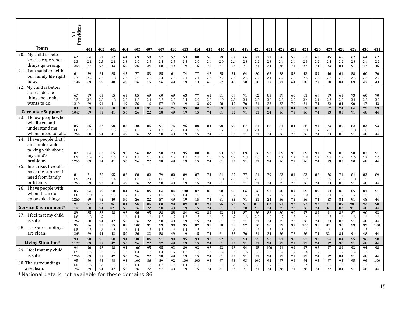|                                                                                                | Providers<br>$\overline{a}$ |                       |                       |                       |                       |                       |                       |                       |                       |                        |                           |                       |                       |                       |                       |                       |                        |                       |                           |                       |                       |                       |                       |                       |                       |                       |
|------------------------------------------------------------------------------------------------|-----------------------------|-----------------------|-----------------------|-----------------------|-----------------------|-----------------------|-----------------------|-----------------------|-----------------------|------------------------|---------------------------|-----------------------|-----------------------|-----------------------|-----------------------|-----------------------|------------------------|-----------------------|---------------------------|-----------------------|-----------------------|-----------------------|-----------------------|-----------------------|-----------------------|-----------------------|
| Item                                                                                           |                             | 401                   | 402                   | 403                   | 404                   | 405                   | 407                   | 409                   | 410                   | 413                    | 414                       | 415                   | 416                   | 418                   | 419                   | 420                   | 421                    | 422                   | 423                       | 424                   | 426                   | 427                   | 428                   | 429                   | 430                   | 431                   |
| My child is better<br>20.<br>able to cope when<br>things go wrong.                             | 62<br>2.3<br>1265           | 64<br>2.1<br>67       | 51<br>2.5<br>92       | 72<br>2.1<br>43       | 64<br>2.3<br>50       | 69<br>2.0<br>26       | 50<br>2.5<br>24       | 57<br>2.4<br>58       | 57<br>2.5<br>49       | 53<br>2.5<br>19        | 80<br>2.0<br>15           | 56<br>2.4<br>75       | 79<br>2.0<br>61       | 63<br>2.4<br>52       | 66<br>2.3<br>71       | 71<br>2.2<br>21       | 71<br>2.3<br>24        | 56<br>2.4<br>36       | 55<br>2.4<br>71           | 62<br>2.3<br>37       | 62<br>2.2<br>74       | 45<br>2.4<br>33       | 65<br>2.2<br>84       | 62<br>2.3<br>91       | 64<br>2.4<br>47       | 62<br>2.2<br>45       |
| I am satisfied with<br>21.<br>our family life right<br>now.                                    | 61<br>2.3<br>1194           | 59<br>2.4<br>69       | 64<br>2.3<br>89       | 85<br>1.8<br>40       | 45<br>2.5<br>49       | 77<br>2.0<br>26       | 53<br>2.3<br>15       | 55<br>2.4<br>56       | 61<br>2.3<br>49       | 74<br>2.1<br>19        | 77<br>2.1<br>13           | 47<br>2.5<br>66       | 75<br>2.2<br>57       | 54<br>2.5<br>46       | 64<br>2.3<br>$70\,$   | 80<br>2.2<br>20       | 65<br>2.1<br>23        | 58<br>2.4<br>31       | 58<br>2.3<br>64           | 43<br>2.5<br>28       | 59<br>2.3<br>73       | 46<br>2.6<br>28       | 61<br>2.3<br>84       | 58<br>2.3<br>89       | 60<br>2.5<br>47       | 70<br>2.2<br>$43\,$   |
| 22. My child is better<br>able to do the<br>things he or she<br>wants to do.                   | 67<br>2.2<br>1219<br>83     | 59<br>2.3<br>69<br>83 | 63<br>2.3<br>91<br>77 | 85<br>1.8<br>41<br>88 | 63<br>2.3<br>49<br>82 | 85<br>1.8<br>26<br>88 | 69<br>2.1<br>16<br>91 | 60<br>2.2<br>57<br>84 | 69<br>2.2<br>49<br>76 | 63<br>2.4<br>19<br>95  | 77<br>2.0<br>13<br>80     | 61<br>2.3<br>69<br>76 | 81<br>1.9<br>58<br>89 | 69<br>2.3<br>45<br>90 | 71<br>2.1<br>70<br>85 | 62<br>2.3<br>21<br>81 | 83<br>2.0<br>23<br>92. | 59<br>2.3<br>32<br>81 | 66<br>2.2<br>70<br>84     | 61<br>2.4<br>31<br>83 | 69<br>2.1<br>74<br>89 | 59<br>2.3<br>32<br>67 | 63<br>2.2<br>84<br>74 | 73<br>2.1<br>90<br>84 | 60<br>2.3<br>47<br>79 | 70<br>2.2<br>43<br>93 |
| <b>Caretaker Support*</b>                                                                      | 1047                        | 69                    | 93                    | 41                    | 50                    | 26                    | 22                    | 58                    | 49                    | 19                     | 15                        | 74                    | 61                    | 52                    | 71                    | 21                    | 24                     | 36                    | 73                        | 36                    | 74                    | 33                    | 85                    | 91                    | 48                    | $\bf 44$              |
| 23. I know people who<br>will listen and<br>understand me<br>when I need to talk.              | 85<br>1.8<br>1264           | 85<br>1.9<br>68       | 82<br>1.9<br>94       | 90<br>1.5<br>41       | 88<br>1.8<br>49       | 100<br>1.5<br>26      | 86<br>1.7<br>22       | 91<br>1.7<br>58       | 76<br>2.0<br>49       | 95<br>1.4<br>19        | 80<br>1.9<br>15           | 84<br>1.8<br>74       | 90<br>1.7<br>61       | 90<br>1.9<br>52       | 87<br>1.8<br>71       | 81<br>2.1<br>21       | 88<br>1.8<br>24        | 81<br>1.9<br>36       | 84<br>1.8<br>73           | 86<br>1.8<br>36       | 91<br>1.7<br>74       | 73<br>2.0<br>33       | 80<br>1.8<br>85       | 82<br>1.8<br>91       | 83<br>1.8<br>48       | 93<br>1.6<br>44       |
| 24.<br>I have people that I<br>am comfortable<br>talking with about<br>my child's<br>problems. | 87<br>1.7<br>1265           | 84<br>1.9<br>69       | 82<br>1.9<br>94       | 85<br>1.5<br>41       | 90<br>1.7<br>50       | 96<br>1.5<br>26       | 82<br>1.8<br>22       | 90<br>1.7<br>58       | 78<br>1.9<br>49       | 95<br>1.5<br>19        | 80<br>1.9<br>15           | 86<br>1.8<br>74       | 93<br>1.6<br>61       | 92<br>1.9<br>52       | 89<br>1.8<br>71       | 76<br>2.0<br>21       | 92<br>1.8<br>24        | 89<br>1.7<br>36       | 90<br>1.7<br>73           | 89<br>1.8<br>36       | 91<br>1.7<br>74       | 79<br>1.9<br>33       | 80<br>1.9<br>85       | 90<br>1.6<br>90       | 83<br>1.7<br>48       | 91<br>1.6<br>$\bf 44$ |
| 25.<br>In a crisis, I would<br>have the support I<br>need from family<br>or friends.           | 81<br>1.9<br>1263           | 71<br>2.1<br>69       | 78<br>1.9<br>93       | 95<br>1.4<br>41       | 86<br>1.8<br>49       | 88<br>1.7<br>26       | 82<br>1.8<br>22       | 79<br>1.8<br>58       | 80<br>1.9<br>49       | 89<br>1.6<br>19        | 87<br>1.9<br>15           | 74<br>1.9<br>74       | 84<br>1.8<br>61       | 85<br>2.0<br>52       | 77<br>1.9<br>71       | 81<br>2.0<br>21       | 79<br>1.8<br>24        | 83<br>1.8<br>35       | 81<br>1.8<br>73           | 83<br>1.9<br>36       | 86<br>1.8<br>74       | 76<br>1.9<br>33       | 71<br>2.0<br>85       | 84<br>1.8<br>91       | 83<br>1.9<br>48       | 89<br>1.8<br>44       |
| I have people with<br>26.<br>whom I can do<br>enjoyable things.                                | 85<br>1.8<br>1260<br>91     | 84<br>1.8<br>69<br>97 | 79<br>1.9<br>92<br>87 | 90<br>1.5<br>40<br>95 | 84<br>1.7<br>50<br>84 | 96<br>1.5<br>26<br>96 | 86<br>1.7<br>22<br>86 | 84<br>1.8<br>57<br>88 | 84<br>1.9<br>49<br>90 | 100<br>1.4<br>19<br>89 | 87<br>$1.8\,$<br>15<br>87 | 80<br>1.8<br>74<br>91 | 90<br>1.7<br>61<br>95 | 96<br>1.9<br>52<br>96 | 86<br>1.7<br>71<br>91 | 76<br>2.1<br>21<br>81 | 92<br>1.7<br>24<br>83  | 78<br>1.9<br>36<br>91 | 83<br>1.7<br>$72\,$<br>92 | 89<br>1.8<br>36<br>97 | 89<br>1.8<br>74<br>92 | 73<br>2.1<br>33<br>91 | 80<br>1.9<br>84<br>89 | 85<br>1.7<br>91<br>90 | 81<br>1.8<br>48<br>92 | 91<br>1.8<br>44<br>98 |
| Service Environment*                                                                           | 1141                        | 68                    | 94                    | 42                    | 50                    | 26                    | 22                    | 58                    | 49                    | 19                     | 15                        | 74                    | 61                    | 52                    | 70                    | 21                    | 24                     | 35                    | 72                        | 36                    | 74                    | 32                    | 83                    | 91                    | 48                    | 44                    |
| 27. I feel that my child<br>is safe.                                                           | 89<br>1.6<br>1262           | 85<br>1.8<br>68       | 88<br>1.7<br>94       | 98<br>1.4<br>42       | 92<br>1.6<br>50       | 96<br>1.4<br>26       | 95<br>1.6<br>22       | 88<br>1.6<br>58       | 88<br>1.7<br>49       | 84<br>1.7<br>19        | 93<br>1.7<br>15           | 89<br>1.6<br>74       | 93<br>1.5<br>61       | 94<br>1.7<br>52       | 87<br>1.6<br>71       | 76<br>2.2<br>21       | 88<br>1.8<br>24        | 80<br>1.7<br>35       | 90<br>1.5<br>72           | 97<br>1.4<br>36       | 89<br>1.6<br>74       | 91<br>1.7<br>33       | 86<br>1.6<br>83       | 87<br>1.6<br>91       | 90<br>1.6<br>48       | 93<br>1.6<br>44       |
| The surroundings<br>28.<br>are clean.                                                          | 96<br>1.5<br>1263           | 96<br>1.5<br>69       | 95<br>1.6<br>94       | 95<br>1.3<br>42       | 88<br>1.6<br>50       | 100<br>1.4<br>26      | 91<br>1.5<br>22       | 93<br>1.5<br>58       | 90<br>1.6<br>49       | 95<br>1.4<br>19        | 87<br>1.7<br>15           | 99<br>1.4<br>74       | 98<br>1.4<br>61       | 98<br>1.6<br>52       | 97<br>1.4<br>70       | 90<br>1.9<br>21       | 96<br>1.5<br>24        | 97<br>1.3<br>36       | 97<br>1.4<br>72           | 100<br>1.4<br>36      | 99<br>1.4<br>74       | 97<br>1.6<br>32       | 96<br>1.3<br>84       | 99<br>1.4<br>91       | 92<br>1.5<br>48       | 100<br>1.4<br>44      |
| <b>Living Situation*</b>                                                                       | 93<br>1177                  | 90<br>69              | 95<br>93              | 98<br>42              | 94<br>50              | 100<br>26             | 86<br>22              | 91<br>57              | 90<br>49              | 95<br>19               | 93<br>15                  | 93<br>74              | 92<br>61              | 96<br>52              | 93<br>71              | 95<br>21              | 92<br>24               | 91<br>35              | 96<br>71                  | 97<br>35              | 92<br>74              | 94<br>32              | 84<br>90              | 95<br>91              | 96<br>48              | 98<br>44              |
| 29. I feel that my child<br>is safe.                                                           | 94<br>1.5<br>1260           | 90<br>1.5<br>69       | 98<br>1.3<br>93       | 98<br>1.2<br>42       | 94<br>1.6<br>50       | 100<br>1.4<br>26      | 95<br>1.5<br>22       | 95<br>1.4<br>58       | 92<br>1.7<br>49       | 89<br>1.5<br>19        | 93<br>1.5<br>15           | 92<br>1.5<br>74       | 93<br>1.4<br>61       | 98<br>1.6<br>52       | 94<br>1.6<br>71       | 95<br>1.8<br>21       | 100<br>1.5<br>24       | 91<br>1.4<br>35       | 99<br>1.4<br>71           | 97<br>1.4<br>35       | 93<br>1.4<br>74       | 97<br>1.5<br>32       | 89<br>1.4<br>84       | 93<br>1.4<br>91       | 94<br>1.5<br>48       | 98<br>1.3<br>44       |
| 30. The surroundings<br>are clean.                                                             | 95<br>1.5<br>1262           | 90<br>1.6<br>69       | 95<br>1.5<br>94       | 98<br>1.3<br>42       | 98<br>1.5<br>50       | 100<br>1.4<br>26      | 86<br>1.5<br>22       | 89<br>1.6<br>57       | 92<br>1.6<br>49       | 100<br>1.4<br>19       | 100<br>1.5<br>15          | 95<br>1.6<br>74       | 97<br>1.4<br>61       | 98<br>1.5<br>52       | 93<br>1.6<br>71       | 100<br>1.8<br>21      | 92<br>1.7<br>24        | 97<br>1.4<br>36       | 96<br>1.4<br>71           | 94<br>1.4<br>36       | 95<br>1.4<br>74       | 97<br>1.5<br>32       | 95<br>1.3<br>84       | 95<br>1.4<br>91       | 96<br>1.5<br>48       | 100<br>1.4<br>44      |

are clean. 1262 | 69 | 94 | 42 | 50 | 26 | 22<br>National data is not available for these domains.86\*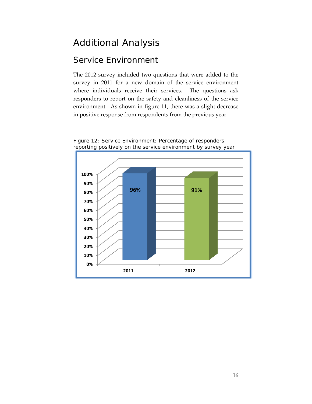## <span id="page-15-0"></span>Additional Analysis

#### <span id="page-15-1"></span>Service Environment

The 2012 survey included two questions that were added to the survey in 2011 for a new domain of the service environment where individuals receive their services. The questions ask responders to report on the safety and cleanliness of the service environment. As shown in figure 11, there was a slight decrease in positive response from respondents from the previous year.



Figure 12: Service Environment: Percentage of responders reporting positively on the service environment by survey year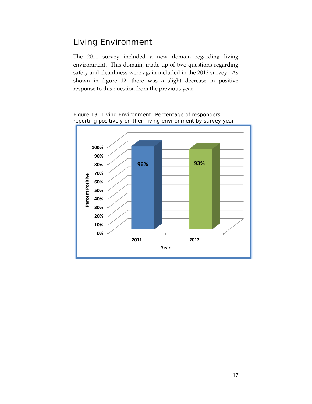#### <span id="page-16-0"></span>Living Environment

The 2011 survey included a new domain regarding living environment. This domain, made up of two questions regarding safety and cleanliness were again included in the 2012 survey. As shown in figure 12, there was a slight decrease in positive response to this question from the previous year.



Figure 13: Living Environment: Percentage of responders reporting positively on their living environment by survey year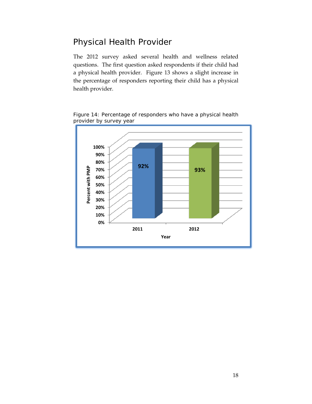#### <span id="page-17-0"></span>Physical Health Provider

The 2012 survey asked several health and wellness related questions. The first question asked respondents if their child had a physical health provider. Figure 13 shows a slight increase in the percentage of responders reporting their child has a physical health provider.



Figure 14: Percentage of responders who have a physical health provider by survey year